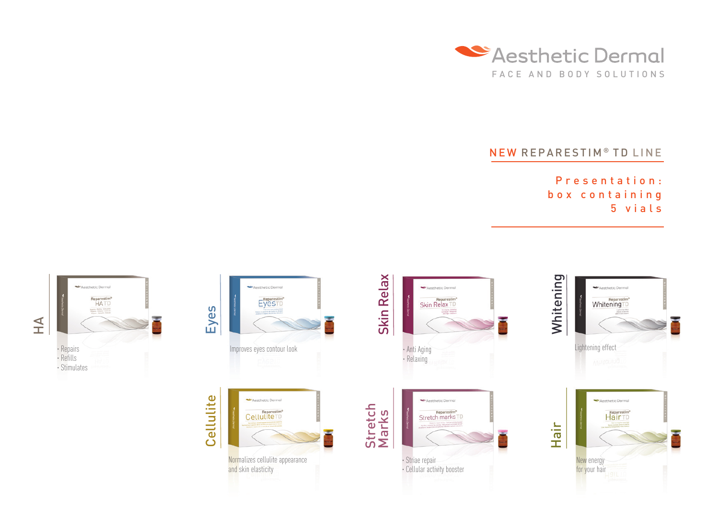

## NEW REPARESTIM<sup>®</sup> TD LINE

Presentation: box containing 5 v i a l s

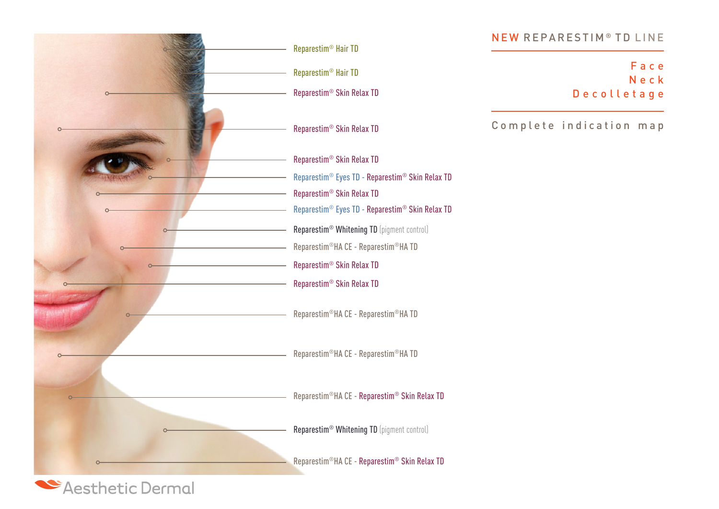

## NEW REPARESTIM<sup>®</sup> TD LINE

F a c e N e c k D e c o l l e t a g e

Complete indication map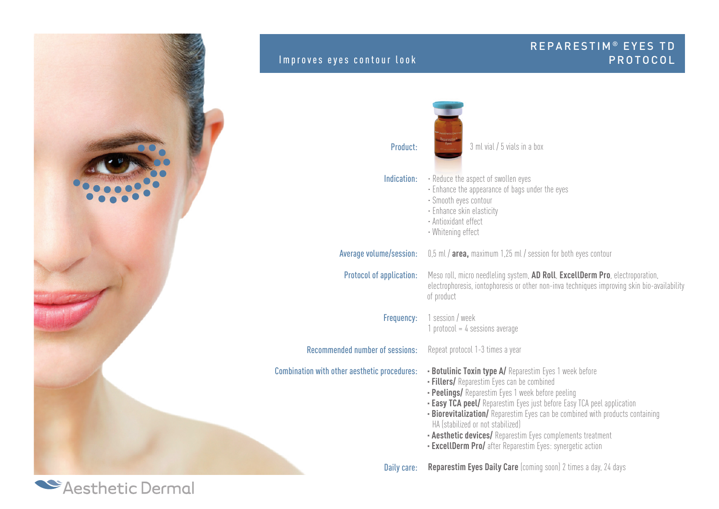

Casthetic Dermal

## REPARESTIM<sup>®</sup> EYES TD Improves eyes contour look and the set of the set of the PROTOCOL Product: Indication: Average volume/session: Protocol of application: Frequency: Recommended number of sessions: Combination with other aesthetic procedures: 3 ml vial / 5 vials in a box · Reduce the aspect of swollen eyes · Enhance the appearance of bags under the eyes · Smooth eyes contour · Enhance skin elasticity · Antioxidant effect · Whitening effect 0,5 ml / **area,** maximum 1,25 ml / session for both eyes contour Meso roll, micro needleling system, **AD Roll**, **ExcellDerm Pro**, electroporation, electrophoresis, iontophoresis or other non-inva techniques improving skin bio-availability of product 1 session / week 1 protocol =  $4$  sessions average Repeat protocol 1-3 times a year **· Botulinic Toxin type A/** Reparestim Eyes 1 week before **· Fillers/** Reparestim Eyes can be combined **· Peelings/** Reparestim Eyes 1 week before peeling **· Easy TCA peel/** Reparestim Eyes just before Easy TCA peel application **· Biorevitalization/** Reparestim Eyes can be combined with products containing HA (stabilized or not stabilized) **· Aesthetic devices/** Reparestim Eyes complements treatment **· ExcellDerm Pro/** after Reparestim Eyes: synergetic action

Daily care: **Reparestim Eyes Daily Care** (coming soon) 2 times a day, 24 days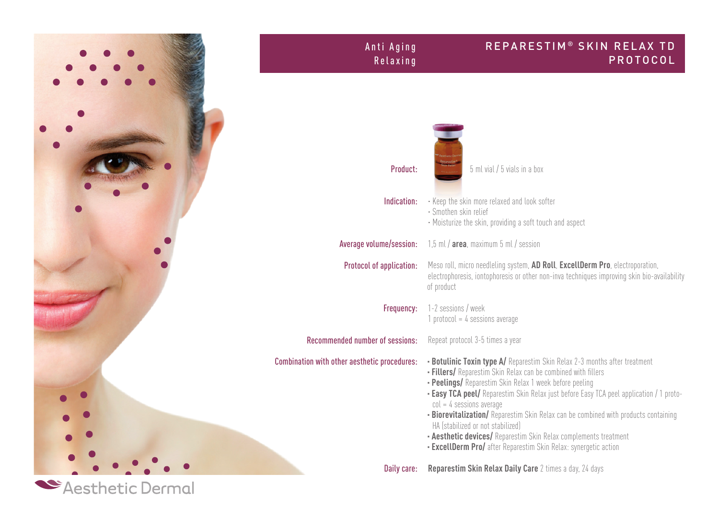

## REPARESTIM<sup>®</sup> SKIN RELAX TD P R O T O C O L Anti Aging R e l a x i n g Product: Indication: Average volume/session: Protocol of application: Frequency: Recommended number of sessions: Combination with other aesthetic procedures: Daily care: 5 ml vial / 5 vials in a box · Keep the skin more relaxed and look softer · Smothen skin relief · Moisturize the skin, providing a soft touch and aspect 1,5 ml / **area**, maximum 5 ml / session Meso roll, micro needleling system, **AD Roll**, **ExcellDerm Pro**, electroporation, electrophoresis, iontophoresis or other non-inva techniques improving skin bio-availability of product 1-2 sessions / week 1 protocol =  $4$  sessions average Repeat protocol 3-5 times a year **· Botulinic Toxin type A/** Reparestim Skin Relax 2-3 months after treatment **· Fillers/** Reparestim Skin Relax can be combined with fillers **· Peelings/** Reparestim Skin Relax 1 week before peeling **· Easy TCA peel/** Reparestim Skin Relax just before Easy TCA peel application / 1 proto $col = 4$  sessions average **· Biorevitalization/** Reparestim Skin Relax can be combined with products containing HA (stabilized or not stabilized) **· Aesthetic devices/** Reparestim Skin Relax complements treatment **· ExcellDerm Pro/** after Reparestim Skin Relax: synergetic action **Reparestim Skin Relax Daily Care** 2 times a day, 24 days